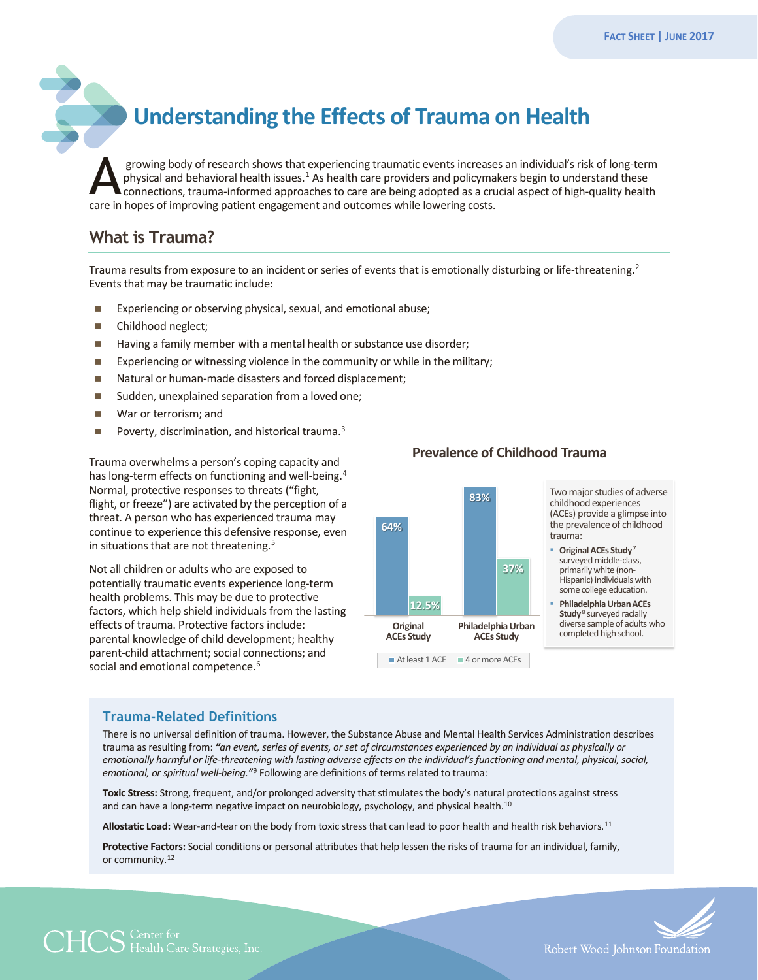# **Understanding the Effects of Trauma on Health**

growing body of research shows that experiencing traumatic events increases an individual's risk of long-term physical and behavioral health issues.<sup>[1](#page-2-0)</sup> As health care providers and policymakers begin to understand these connections, trauma-informed approaches to care are being adopted as a crucial aspect of high-quality health growing body of research shows that experiencing traumatic events increase<br>physical and behavioral health issues.<sup>1</sup> As health care providers and policyma<br>connections, trauma-informed approaches to care are being adopted a

# **What is Trauma?**

Trauma results from exposure to an incident or series of events that is emotionally disturbing or life-threatening.<sup>2</sup> Events that may be traumatic include:

- Experiencing or observing physical, sexual, and emotional abuse;
- Childhood neglect;
- Having a family member with a mental health or substance use disorder;
- **EXPERIENCE EXPERIENCES** FIRE VIOLENCE IN the community or while in the military;
- Natural or human-made disasters and forced displacement;
- Sudden, unexplained separation from a loved one;
- War or terrorism; and
- Poverty, discrimination, and historical trauma.<sup>[3](#page-2-2)</sup>

Trauma overwhelms a person's coping capacity and has long-term effects on functioning and well-being.<sup>[4](#page-2-3)</sup> Normal, protective responses to threats ("fight, flight, or freeze") are activated by the perception of a threat. A person who has experienced trauma may continue to experience this defensive response, even in situations that are not threatening.<sup>[5](#page-2-4)</sup>

Not all children or adults who are exposed to potentially traumatic events experience long-term health problems. This may be due to protective factors, which help shield individuals from the lasting effects of trauma. Protective factors include: parental knowledge of child development; healthy parent-child attachment; social connections; and social and emotional competence.<sup>[6](#page-2-5)</sup>



#### **Prevalence of Childhood Trauma**

Two major studies of adverse childhood experiences (ACEs) provide a glimpse into the prevalence of childhood

- **Original ACEs Study<sup>7</sup>** surveyed middle-class, primarily white (non-Hispanic) individuals with some college education.
- **Philadelphia Urban ACEs Study**<sup>8</sup> surveyed racially diverse sample of adults who completed high school.

#### **Trauma-Related Definitions**

There is no universal definition of trauma. However, the Substance Abuse and Mental Health Services Administration describes trauma as resulting from: *"an event, series of events, or set of circumstances experienced by an individual as physically or emotionally harmful or life-threatening with lasting adverse effects on the individual's functioning and mental, physical, social, emotional, or spiritual well-being."*[9](#page-2-8) Following are definitions of terms related to trauma:

**Toxic Stress:** Strong, frequent, and/or prolonged adversity that stimulates the body's natural protections against stress and can have a long-term negative impact on neurobiology, psychology, and physical health.<sup>10</sup>

**Allostatic Load:** Wear-and-tear on the body from toxic stress that can lead to poor health and health risk behaviors.[11](#page-2-10)

**Protective Factors:** Social conditions or personal attributes that help lessen the risks of trauma for an individual, family, or community.[12](#page-2-11)



 $\mathbb{C}\mathbb{S}^{\mathbb{C}}$  enter for Strategies, Inc.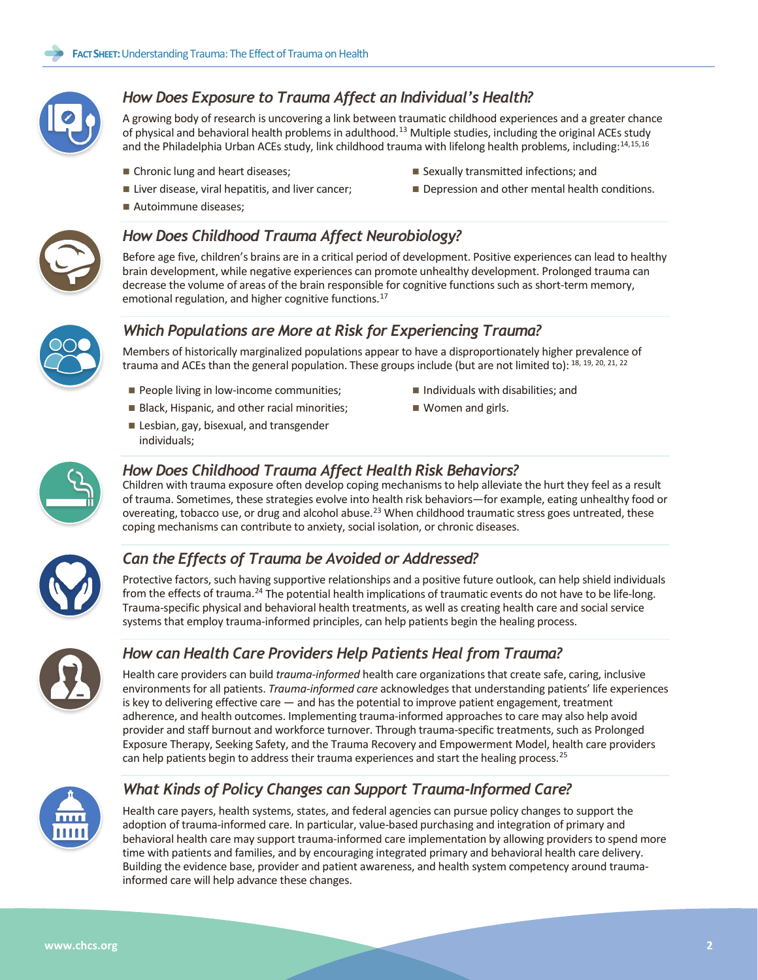

## *How Does Exposure to Trauma Affect an Individual's Health?*

A growing body of research is uncovering a link between traumatic childhood experiences and a greater chance of physical and behavioral health problems in adulthood.<sup>[13](#page-2-12)</sup> Multiple studies, including the original ACEs study and the Philadelphia Urban ACEs study, link childhood trauma with lifelong health problems, including:<sup>[14,](#page-2-13)[15](#page-2-14),[16](#page-2-15)</sup>

- Chronic lung and heart diseases;
- Liver disease, viral hepatitis, and liver cancer;
- Autoimmune diseases:
- *How Does Childhood Trauma Affect Neurobiology?*

Before age five, children's brains are in a critical period of development. Positive experiences can lead to healthy brain development, while negative experiences can promote unhealthy development. Prolonged trauma can decrease the volume of areas of the brain responsible for cognitive functions such as short-term memory, emotional regulation, and higher cognitive functions.<sup>[17](#page-2-16)</sup>



### *Which Populations are More at Risk for Experiencing Trauma?*

Members of historically marginalized populations appear to have a disproportionately higher prevalence of trauma and ACEs than the general population. These groups include (but are not limited to): [18,](#page-2-17) [19,](#page-2-18) [20,](#page-2-19) [21](#page-2-20), [22](#page-2-21)

- People living in low-income communities;
- **Black, Hispanic, and other racial minorities;**
- Lesbian, gay, bisexual, and transgender individuals;
- $\blacksquare$  Individuals with disabilities; and

■ Sexually transmitted infections; and

Depression and other mental health conditions.

■ Women and girls.



#### *How Does Childhood Trauma Affect Health Risk Behaviors?*

Children with trauma exposure often develop coping mechanisms to help alleviate the hurt they feel as a result of trauma. Sometimes, these strategies evolve into health risk behaviors—for example, eating unhealthy food or overeating, tobacco use, or drug and alcohol abuse.<sup>[23](#page-2-22)</sup> When childhood traumatic stress goes untreated, these coping mechanisms can contribute to anxiety, social isolation, or chronic diseases.



### *Can the Effects of Trauma be Avoided or Addressed?*

Protective factors, such having supportive relationships and a positive future outlook, can help shield individuals from the effects of trauma.<sup>[24](#page-2-23)</sup> The potential health implications of traumatic events do not have to be life-long. Trauma-specific physical and behavioral health treatments, as well as creating health care and social service systems that employ trauma-informed principles, can help patients begin the healing process.



## *How can Health Care Providers Help Patients Heal from Trauma?*

Health care providers can build *trauma-informed* health care organizations that create safe, caring, inclusive environments for all patients. *Trauma-informed care* acknowledges that understanding patients' life experiences is key to delivering effective care  $-$  and has the potential to improve patient engagement, treatment adherence, and health outcomes. Implementing trauma-informed approaches to care may also help avoid provider and staff burnout and workforce turnover. Through trauma-specific treatments, such as Prolonged Exposure Therapy, Seeking Safety, and the Trauma Recovery and Empowerment Model, health care providers can help patients begin to address their trauma experiences and start the healing process.<sup>25</sup>



## *What Kinds of Policy Changes can Support Trauma-Informed Care?*

Health care payers, health systems, states, and federal agencies can pursue policy changes to support the adoption of trauma-informed care. In particular, value-based purchasing and integration of primary and behavioral health care may support trauma-informed care implementation by allowing providers to spend more time with patients and families, and by encouraging integrated primary and behavioral health care delivery. Building the evidence base, provider and patient awareness, and health system competency around traumainformed care will help advance these changes.